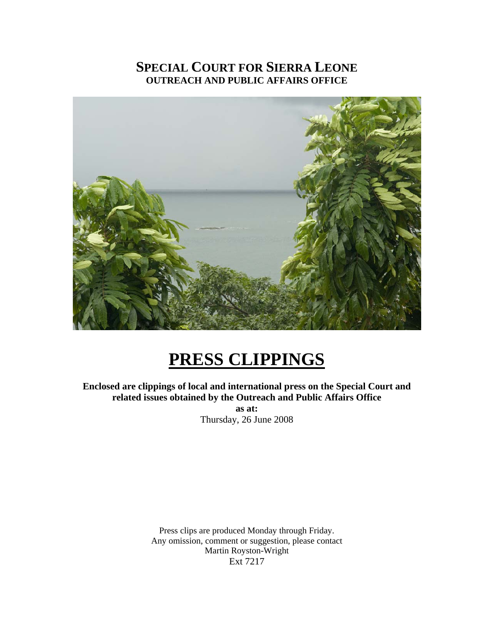# **SPECIAL COURT FOR SIERRA LEONE OUTREACH AND PUBLIC AFFAIRS OFFICE**



# **PRESS CLIPPINGS**

**Enclosed are clippings of local and international press on the Special Court and related issues obtained by the Outreach and Public Affairs Office as at:**  Thursday, 26 June 2008

> Press clips are produced Monday through Friday. Any omission, comment or suggestion, please contact Martin Royston-Wright Ext 7217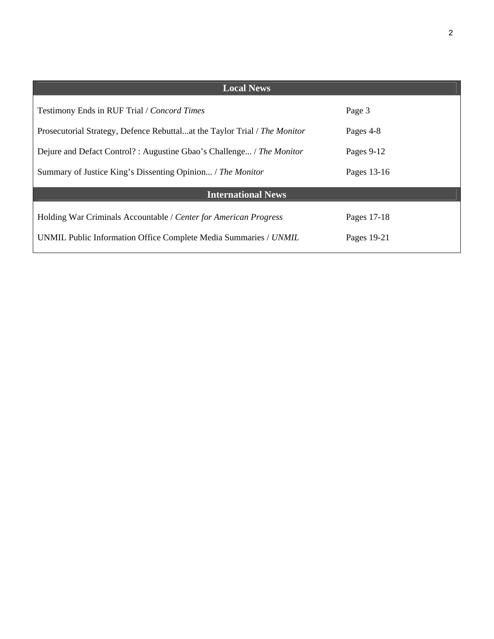| <b>Local News</b>                                                         |             |  |
|---------------------------------------------------------------------------|-------------|--|
| Testimony Ends in RUF Trial / Concord Times                               | Page 3      |  |
| Prosecutorial Strategy, Defence Rebuttalat the Taylor Trial / The Monitor | Pages 4-8   |  |
| Dejure and Defact Control?: Augustine Gbao's Challenge / The Monitor      | Pages 9-12  |  |
| Summary of Justice King's Dissenting Opinion / The Monitor                | Pages 13-16 |  |
| <b>International News</b>                                                 |             |  |
| Holding War Criminals Accountable / Center for American Progress          | Pages 17-18 |  |
| UNMIL Public Information Office Complete Media Summaries / UNMIL          | Pages 19-21 |  |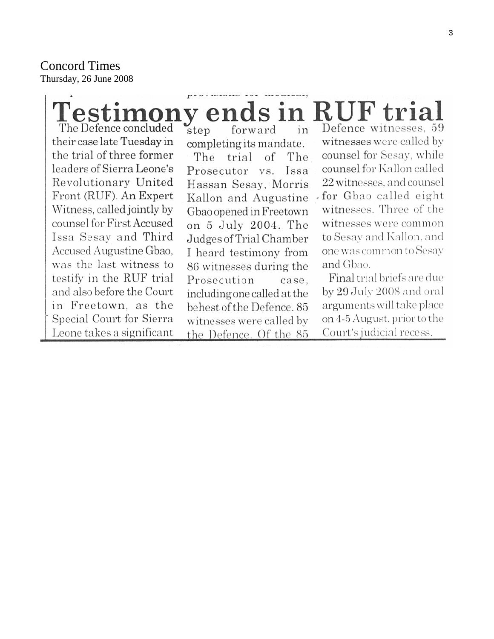Concord Times Thursday, 26 June 2008

#### **Testimony ends in RUF trial** The Defence concluded  $\mathbf{s}$ tep Defence witnesses, 59 forward in their case late Tuesday in witnesses were called by completing its mandate. counsel for Sesay, while the trial of three former The trial  $\alpha$ The leaders of Sierra Leone's counsel for Kallon called Prosecutor vs. Issa Revolutionary United Hassan Sesay, Morris 22 witnesses, and counsel Front (RUF). An Expert for Gbao called eight Kallon and Augustine witnesses. Three of the Witness, called jointly by Gbao opened in Freetown counsel for First Accused witnesses were common on 5 July 2004. The to Sesay and Kallon, and Issa Sesay and Third Judges of Trial Chamber Accused Augustine Gbao, one was common to Sesay I heard testimony from was the last witness to and Gbao. 86 witnesses during the Final trial briefs are due testify in the RUF trial Prosecution case, by 29 July 2008 and oral and also before the Court including one called at the in Freetown, as the

Special Court for Sierra Leone takes a significant behest of the Defence. 85 witnesses were called by the Defence. Of the 85

arguments will take place on 4-5 August, prior to the Court's judicial recess.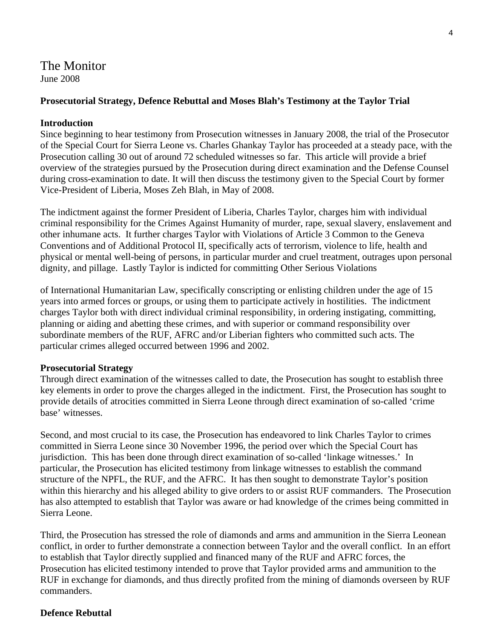# The Monitor

June 2008

# **Prosecutorial Strategy, Defence Rebuttal and Moses Blah's Testimony at the Taylor Trial**

# **Introduction**

Since beginning to hear testimony from Prosecution witnesses in January 2008, the trial of the Prosecutor of the Special Court for Sierra Leone vs. Charles Ghankay Taylor has proceeded at a steady pace, with the Prosecution calling 30 out of around 72 scheduled witnesses so far. This article will provide a brief overview of the strategies pursued by the Prosecution during direct examination and the Defense Counsel during cross-examination to date. It will then discuss the testimony given to the Special Court by former Vice-President of Liberia, Moses Zeh Blah, in May of 2008.

The indictment against the former President of Liberia, Charles Taylor, charges him with individual criminal responsibility for the Crimes Against Humanity of murder, rape, sexual slavery, enslavement and other inhumane acts. It further charges Taylor with Violations of Article 3 Common to the Geneva Conventions and of Additional Protocol II, specifically acts of terrorism, violence to life, health and physical or mental well-being of persons, in particular murder and cruel treatment, outrages upon personal dignity, and pillage. Lastly Taylor is indicted for committing Other Serious Violations

of International Humanitarian Law, specifically conscripting or enlisting children under the age of 15 years into armed forces or groups, or using them to participate actively in hostilities. The indictment charges Taylor both with direct individual criminal responsibility, in ordering instigating, committing, planning or aiding and abetting these crimes, and with superior or command responsibility over subordinate members of the RUF, AFRC and/or Liberian fighters who committed such acts. The particular crimes alleged occurred between 1996 and 2002.

# **Prosecutorial Strategy**

Through direct examination of the witnesses called to date, the Prosecution has sought to establish three key elements in order to prove the charges alleged in the indictment. First, the Prosecution has sought to provide details of atrocities committed in Sierra Leone through direct examination of so-called 'crime base' witnesses.

Second, and most crucial to its case, the Prosecution has endeavored to link Charles Taylor to crimes committed in Sierra Leone since 30 November 1996, the period over which the Special Court has jurisdiction. This has been done through direct examination of so-called 'linkage witnesses.' In particular, the Prosecution has elicited testimony from linkage witnesses to establish the command structure of the NPFL, the RUF, and the AFRC. It has then sought to demonstrate Taylor's position within this hierarchy and his alleged ability to give orders to or assist RUF commanders. The Prosecution has also attempted to establish that Taylor was aware or had knowledge of the crimes being committed in Sierra Leone.

Third, the Prosecution has stressed the role of diamonds and arms and ammunition in the Sierra Leonean conflict, in order to further demonstrate a connection between Taylor and the overall conflict. In an effort to establish that Taylor directly supplied and financed many of the RUF and AFRC forces, the Prosecution has elicited testimony intended to prove that Taylor provided arms and ammunition to the RUF in exchange for diamonds, and thus directly profited from the mining of diamonds overseen by RUF commanders.

# **Defence Rebuttal**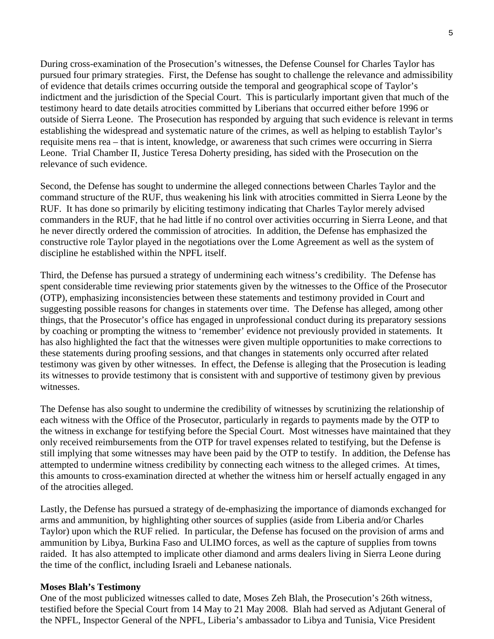During cross-examination of the Prosecution's witnesses, the Defense Counsel for Charles Taylor has pursued four primary strategies. First, the Defense has sought to challenge the relevance and admissibility of evidence that details crimes occurring outside the temporal and geographical scope of Taylor's indictment and the jurisdiction of the Special Court. This is particularly important given that much of the testimony heard to date details atrocities committed by Liberians that occurred either before 1996 or outside of Sierra Leone. The Prosecution has responded by arguing that such evidence is relevant in terms establishing the widespread and systematic nature of the crimes, as well as helping to establish Taylor's requisite mens rea – that is intent, knowledge, or awareness that such crimes were occurring in Sierra Leone. Trial Chamber II, Justice Teresa Doherty presiding, has sided with the Prosecution on the relevance of such evidence.

Second, the Defense has sought to undermine the alleged connections between Charles Taylor and the command structure of the RUF, thus weakening his link with atrocities committed in Sierra Leone by the RUF. It has done so primarily by eliciting testimony indicating that Charles Taylor merely advised commanders in the RUF, that he had little if no control over activities occurring in Sierra Leone, and that he never directly ordered the commission of atrocities. In addition, the Defense has emphasized the constructive role Taylor played in the negotiations over the Lome Agreement as well as the system of discipline he established within the NPFL itself.

Third, the Defense has pursued a strategy of undermining each witness's credibility. The Defense has spent considerable time reviewing prior statements given by the witnesses to the Office of the Prosecutor (OTP), emphasizing inconsistencies between these statements and testimony provided in Court and suggesting possible reasons for changes in statements over time. The Defense has alleged, among other things, that the Prosecutor's office has engaged in unprofessional conduct during its preparatory sessions by coaching or prompting the witness to 'remember' evidence not previously provided in statements. It has also highlighted the fact that the witnesses were given multiple opportunities to make corrections to these statements during proofing sessions, and that changes in statements only occurred after related testimony was given by other witnesses. In effect, the Defense is alleging that the Prosecution is leading its witnesses to provide testimony that is consistent with and supportive of testimony given by previous witnesses.

The Defense has also sought to undermine the credibility of witnesses by scrutinizing the relationship of each witness with the Office of the Prosecutor, particularly in regards to payments made by the OTP to the witness in exchange for testifying before the Special Court. Most witnesses have maintained that they only received reimbursements from the OTP for travel expenses related to testifying, but the Defense is still implying that some witnesses may have been paid by the OTP to testify. In addition, the Defense has attempted to undermine witness credibility by connecting each witness to the alleged crimes. At times, this amounts to cross-examination directed at whether the witness him or herself actually engaged in any of the atrocities alleged.

Lastly, the Defense has pursued a strategy of de-emphasizing the importance of diamonds exchanged for arms and ammunition, by highlighting other sources of supplies (aside from Liberia and/or Charles Taylor) upon which the RUF relied. In particular, the Defense has focused on the provision of arms and ammunition by Libya, Burkina Faso and ULIMO forces, as well as the capture of supplies from towns raided. It has also attempted to implicate other diamond and arms dealers living in Sierra Leone during the time of the conflict, including Israeli and Lebanese nationals.

### **Moses Blah's Testimony**

One of the most publicized witnesses called to date, Moses Zeh Blah, the Prosecution's 26th witness, testified before the Special Court from 14 May to 21 May 2008. Blah had served as Adjutant General of the NPFL, Inspector General of the NPFL, Liberia's ambassador to Libya and Tunisia, Vice President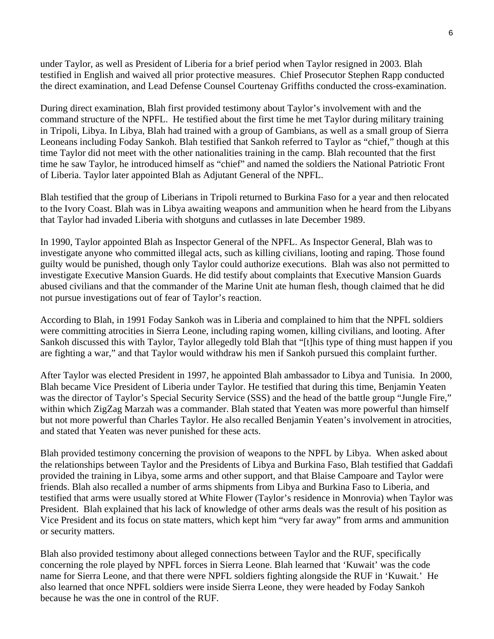under Taylor, as well as President of Liberia for a brief period when Taylor resigned in 2003. Blah testified in English and waived all prior protective measures. Chief Prosecutor Stephen Rapp conducted the direct examination, and Lead Defense Counsel Courtenay Griffiths conducted the cross-examination.

During direct examination, Blah first provided testimony about Taylor's involvement with and the command structure of the NPFL. He testified about the first time he met Taylor during military training in Tripoli, Libya. In Libya, Blah had trained with a group of Gambians, as well as a small group of Sierra Leoneans including Foday Sankoh. Blah testified that Sankoh referred to Taylor as "chief," though at this time Taylor did not meet with the other nationalities training in the camp. Blah recounted that the first time he saw Taylor, he introduced himself as "chief" and named the soldiers the National Patriotic Front of Liberia. Taylor later appointed Blah as Adjutant General of the NPFL.

Blah testified that the group of Liberians in Tripoli returned to Burkina Faso for a year and then relocated to the Ivory Coast. Blah was in Libya awaiting weapons and ammunition when he heard from the Libyans that Taylor had invaded Liberia with shotguns and cutlasses in late December 1989.

In 1990, Taylor appointed Blah as Inspector General of the NPFL. As Inspector General, Blah was to investigate anyone who committed illegal acts, such as killing civilians, looting and raping. Those found guilty would be punished, though only Taylor could authorize executions. Blah was also not permitted to investigate Executive Mansion Guards. He did testify about complaints that Executive Mansion Guards abused civilians and that the commander of the Marine Unit ate human flesh, though claimed that he did not pursue investigations out of fear of Taylor's reaction.

According to Blah, in 1991 Foday Sankoh was in Liberia and complained to him that the NPFL soldiers were committing atrocities in Sierra Leone, including raping women, killing civilians, and looting. After Sankoh discussed this with Taylor, Taylor allegedly told Blah that "[t]his type of thing must happen if you are fighting a war," and that Taylor would withdraw his men if Sankoh pursued this complaint further.

After Taylor was elected President in 1997, he appointed Blah ambassador to Libya and Tunisia. In 2000, Blah became Vice President of Liberia under Taylor. He testified that during this time, Benjamin Yeaten was the director of Taylor's Special Security Service (SSS) and the head of the battle group "Jungle Fire," within which ZigZag Marzah was a commander. Blah stated that Yeaten was more powerful than himself but not more powerful than Charles Taylor. He also recalled Benjamin Yeaten's involvement in atrocities, and stated that Yeaten was never punished for these acts.

Blah provided testimony concerning the provision of weapons to the NPFL by Libya. When asked about the relationships between Taylor and the Presidents of Libya and Burkina Faso, Blah testified that Gaddafi provided the training in Libya, some arms and other support, and that Blaise Campoare and Taylor were friends. Blah also recalled a number of arms shipments from Libya and Burkina Faso to Liberia, and testified that arms were usually stored at White Flower (Taylor's residence in Monrovia) when Taylor was President. Blah explained that his lack of knowledge of other arms deals was the result of his position as Vice President and its focus on state matters, which kept him "very far away" from arms and ammunition or security matters.

Blah also provided testimony about alleged connections between Taylor and the RUF, specifically concerning the role played by NPFL forces in Sierra Leone. Blah learned that 'Kuwait' was the code name for Sierra Leone, and that there were NPFL soldiers fighting alongside the RUF in 'Kuwait.' He also learned that once NPFL soldiers were inside Sierra Leone, they were headed by Foday Sankoh because he was the one in control of the RUF.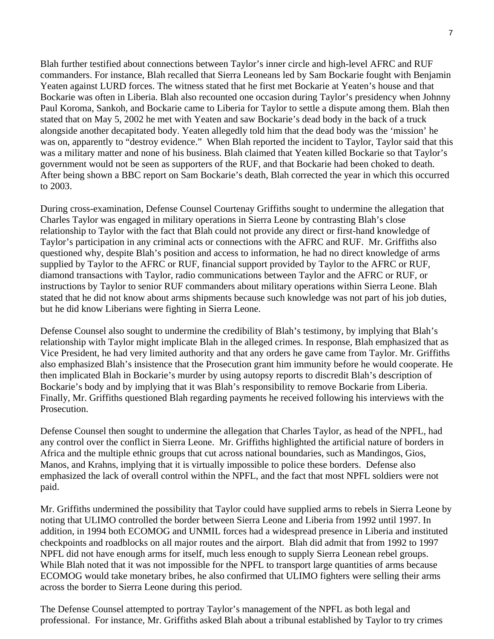Blah further testified about connections between Taylor's inner circle and high-level AFRC and RUF commanders. For instance, Blah recalled that Sierra Leoneans led by Sam Bockarie fought with Benjamin Yeaten against LURD forces. The witness stated that he first met Bockarie at Yeaten's house and that Bockarie was often in Liberia. Blah also recounted one occasion during Taylor's presidency when Johnny Paul Koroma, Sankoh, and Bockarie came to Liberia for Taylor to settle a dispute among them. Blah then stated that on May 5, 2002 he met with Yeaten and saw Bockarie's dead body in the back of a truck alongside another decapitated body. Yeaten allegedly told him that the dead body was the 'mission' he was on, apparently to "destroy evidence." When Blah reported the incident to Taylor, Taylor said that this was a military matter and none of his business. Blah claimed that Yeaten killed Bockarie so that Taylor's government would not be seen as supporters of the RUF, and that Bockarie had been choked to death. After being shown a BBC report on Sam Bockarie's death, Blah corrected the year in which this occurred to 2003.

During cross-examination, Defense Counsel Courtenay Griffiths sought to undermine the allegation that Charles Taylor was engaged in military operations in Sierra Leone by contrasting Blah's close relationship to Taylor with the fact that Blah could not provide any direct or first-hand knowledge of Taylor's participation in any criminal acts or connections with the AFRC and RUF. Mr. Griffiths also questioned why, despite Blah's position and access to information, he had no direct knowledge of arms supplied by Taylor to the AFRC or RUF, financial support provided by Taylor to the AFRC or RUF, diamond transactions with Taylor, radio communications between Taylor and the AFRC or RUF, or instructions by Taylor to senior RUF commanders about military operations within Sierra Leone. Blah stated that he did not know about arms shipments because such knowledge was not part of his job duties, but he did know Liberians were fighting in Sierra Leone.

Defense Counsel also sought to undermine the credibility of Blah's testimony, by implying that Blah's relationship with Taylor might implicate Blah in the alleged crimes. In response, Blah emphasized that as Vice President, he had very limited authority and that any orders he gave came from Taylor. Mr. Griffiths also emphasized Blah's insistence that the Prosecution grant him immunity before he would cooperate. He then implicated Blah in Bockarie's murder by using autopsy reports to discredit Blah's description of Bockarie's body and by implying that it was Blah's responsibility to remove Bockarie from Liberia. Finally, Mr. Griffiths questioned Blah regarding payments he received following his interviews with the Prosecution.

Defense Counsel then sought to undermine the allegation that Charles Taylor, as head of the NPFL, had any control over the conflict in Sierra Leone. Mr. Griffiths highlighted the artificial nature of borders in Africa and the multiple ethnic groups that cut across national boundaries, such as Mandingos, Gios, Manos, and Krahns, implying that it is virtually impossible to police these borders. Defense also emphasized the lack of overall control within the NPFL, and the fact that most NPFL soldiers were not paid.

Mr. Griffiths undermined the possibility that Taylor could have supplied arms to rebels in Sierra Leone by noting that ULIMO controlled the border between Sierra Leone and Liberia from 1992 until 1997. In addition, in 1994 both ECOMOG and UNMIL forces had a widespread presence in Liberia and instituted checkpoints and roadblocks on all major routes and the airport. Blah did admit that from 1992 to 1997 NPFL did not have enough arms for itself, much less enough to supply Sierra Leonean rebel groups. While Blah noted that it was not impossible for the NPFL to transport large quantities of arms because ECOMOG would take monetary bribes, he also confirmed that ULIMO fighters were selling their arms across the border to Sierra Leone during this period.

The Defense Counsel attempted to portray Taylor's management of the NPFL as both legal and professional. For instance, Mr. Griffiths asked Blah about a tribunal established by Taylor to try crimes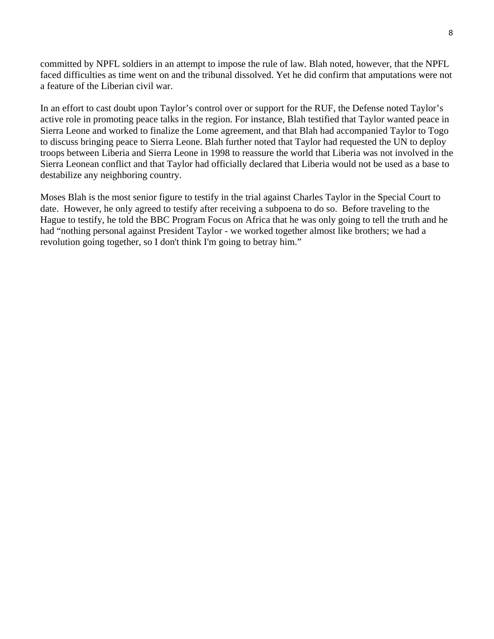committed by NPFL soldiers in an attempt to impose the rule of law. Blah noted, however, that the NPFL faced difficulties as time went on and the tribunal dissolved. Yet he did confirm that amputations were not a feature of the Liberian civil war.

In an effort to cast doubt upon Taylor's control over or support for the RUF, the Defense noted Taylor's active role in promoting peace talks in the region. For instance, Blah testified that Taylor wanted peace in Sierra Leone and worked to finalize the Lome agreement, and that Blah had accompanied Taylor to Togo to discuss bringing peace to Sierra Leone. Blah further noted that Taylor had requested the UN to deploy troops between Liberia and Sierra Leone in 1998 to reassure the world that Liberia was not involved in the Sierra Leonean conflict and that Taylor had officially declared that Liberia would not be used as a base to destabilize any neighboring country.

Moses Blah is the most senior figure to testify in the trial against Charles Taylor in the Special Court to date. However, he only agreed to testify after receiving a subpoena to do so. Before traveling to the Hague to testify, he told the BBC Program Focus on Africa that he was only going to tell the truth and he had "nothing personal against President Taylor - we worked together almost like brothers; we had a revolution going together, so I don't think I'm going to betray him."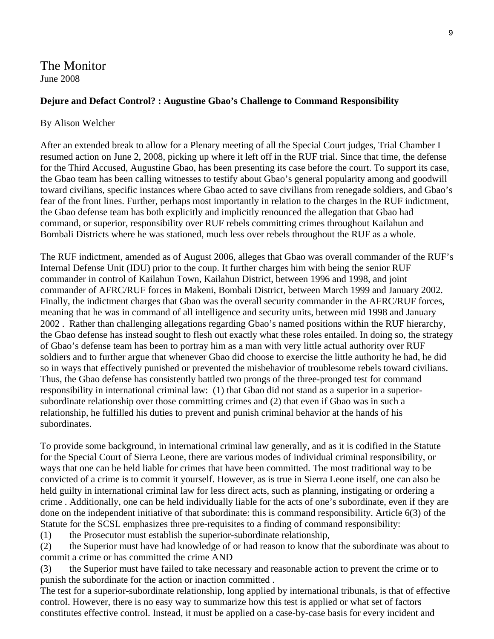The Monitor June 2008

# **Dejure and Defact Control? : Augustine Gbao's Challenge to Command Responsibility**

#### By Alison Welcher

After an extended break to allow for a Plenary meeting of all the Special Court judges, Trial Chamber I resumed action on June 2, 2008, picking up where it left off in the RUF trial. Since that time, the defense for the Third Accused, Augustine Gbao, has been presenting its case before the court. To support its case, the Gbao team has been calling witnesses to testify about Gbao's general popularity among and goodwill toward civilians, specific instances where Gbao acted to save civilians from renegade soldiers, and Gbao's fear of the front lines. Further, perhaps most importantly in relation to the charges in the RUF indictment, the Gbao defense team has both explicitly and implicitly renounced the allegation that Gbao had command, or superior, responsibility over RUF rebels committing crimes throughout Kailahun and Bombali Districts where he was stationed, much less over rebels throughout the RUF as a whole.

The RUF indictment, amended as of August 2006, alleges that Gbao was overall commander of the RUF's Internal Defense Unit (IDU) prior to the coup. It further charges him with being the senior RUF commander in control of Kailahun Town, Kailahun District, between 1996 and 1998, and joint commander of AFRC/RUF forces in Makeni, Bombali District, between March 1999 and January 2002. Finally, the indictment charges that Gbao was the overall security commander in the AFRC/RUF forces, meaning that he was in command of all intelligence and security units, between mid 1998 and January 2002 . Rather than challenging allegations regarding Gbao's named positions within the RUF hierarchy, the Gbao defense has instead sought to flesh out exactly what these roles entailed. In doing so, the strategy of Gbao's defense team has been to portray him as a man with very little actual authority over RUF soldiers and to further argue that whenever Gbao did choose to exercise the little authority he had, he did so in ways that effectively punished or prevented the misbehavior of troublesome rebels toward civilians. Thus, the Gbao defense has consistently battled two prongs of the three-pronged test for command responsibility in international criminal law: (1) that Gbao did not stand as a superior in a superiorsubordinate relationship over those committing crimes and (2) that even if Gbao was in such a relationship, he fulfilled his duties to prevent and punish criminal behavior at the hands of his subordinates.

To provide some background, in international criminal law generally, and as it is codified in the Statute for the Special Court of Sierra Leone, there are various modes of individual criminal responsibility, or ways that one can be held liable for crimes that have been committed. The most traditional way to be convicted of a crime is to commit it yourself. However, as is true in Sierra Leone itself, one can also be held guilty in international criminal law for less direct acts, such as planning, instigating or ordering a crime . Additionally, one can be held individually liable for the acts of one's subordinate, even if they are done on the independent initiative of that subordinate: this is command responsibility. Article 6(3) of the Statute for the SCSL emphasizes three pre-requisites to a finding of command responsibility:

(1) the Prosecutor must establish the superior-subordinate relationship,

(2) the Superior must have had knowledge of or had reason to know that the subordinate was about to commit a crime or has committed the crime AND

(3) the Superior must have failed to take necessary and reasonable action to prevent the crime or to punish the subordinate for the action or inaction committed .

The test for a superior-subordinate relationship, long applied by international tribunals, is that of effective control. However, there is no easy way to summarize how this test is applied or what set of factors constitutes effective control. Instead, it must be applied on a case-by-case basis for every incident and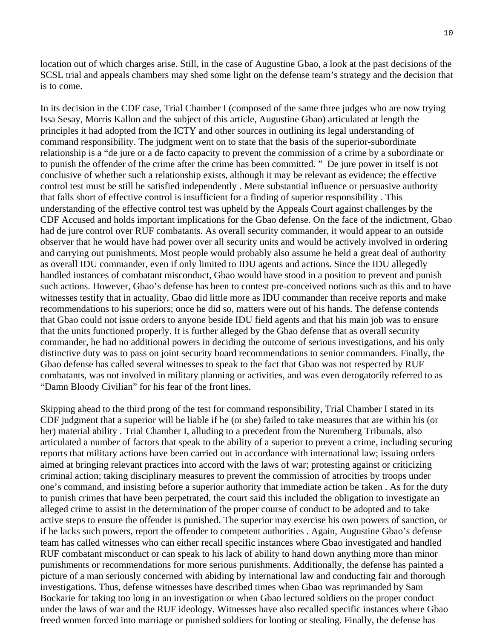location out of which charges arise. Still, in the case of Augustine Gbao, a look at the past decisions of the SCSL trial and appeals chambers may shed some light on the defense team's strategy and the decision that is to come.

In its decision in the CDF case, Trial Chamber I (composed of the same three judges who are now trying Issa Sesay, Morris Kallon and the subject of this article, Augustine Gbao) articulated at length the principles it had adopted from the ICTY and other sources in outlining its legal understanding of command responsibility. The judgment went on to state that the basis of the superior-subordinate relationship is a "de jure or a de facto capacity to prevent the commission of a crime by a subordinate or to punish the offender of the crime after the crime has been committed. " De jure power in itself is not conclusive of whether such a relationship exists, although it may be relevant as evidence; the effective control test must be still be satisfied independently . Mere substantial influence or persuasive authority that falls short of effective control is insufficient for a finding of superior responsibility . This understanding of the effective control test was upheld by the Appeals Court against challenges by the CDF Accused and holds important implications for the Gbao defense. On the face of the indictment, Gbao had de jure control over RUF combatants. As overall security commander, it would appear to an outside observer that he would have had power over all security units and would be actively involved in ordering and carrying out punishments. Most people would probably also assume he held a great deal of authority as overall IDU commander, even if only limited to IDU agents and actions. Since the IDU allegedly handled instances of combatant misconduct, Gbao would have stood in a position to prevent and punish such actions. However, Gbao's defense has been to contest pre-conceived notions such as this and to have witnesses testify that in actuality, Gbao did little more as IDU commander than receive reports and make recommendations to his superiors; once he did so, matters were out of his hands. The defense contends that Gbao could not issue orders to anyone beside IDU field agents and that his main job was to ensure that the units functioned properly. It is further alleged by the Gbao defense that as overall security commander, he had no additional powers in deciding the outcome of serious investigations, and his only distinctive duty was to pass on joint security board recommendations to senior commanders. Finally, the Gbao defense has called several witnesses to speak to the fact that Gbao was not respected by RUF combatants, was not involved in military planning or activities, and was even derogatorily referred to as "Damn Bloody Civilian" for his fear of the front lines.

Skipping ahead to the third prong of the test for command responsibility, Trial Chamber I stated in its CDF judgment that a superior will be liable if he (or she) failed to take measures that are within his (or her) material ability . Trial Chamber I, alluding to a precedent from the Nuremberg Tribunals, also articulated a number of factors that speak to the ability of a superior to prevent a crime, including securing reports that military actions have been carried out in accordance with international law; issuing orders aimed at bringing relevant practices into accord with the laws of war; protesting against or criticizing criminal action; taking disciplinary measures to prevent the commission of atrocities by troops under one's command, and insisting before a superior authority that immediate action be taken . As for the duty to punish crimes that have been perpetrated, the court said this included the obligation to investigate an alleged crime to assist in the determination of the proper course of conduct to be adopted and to take active steps to ensure the offender is punished. The superior may exercise his own powers of sanction, or if he lacks such powers, report the offender to competent authorities . Again, Augustine Gbao's defense team has called witnesses who can either recall specific instances where Gbao investigated and handled RUF combatant misconduct or can speak to his lack of ability to hand down anything more than minor punishments or recommendations for more serious punishments. Additionally, the defense has painted a picture of a man seriously concerned with abiding by international law and conducting fair and thorough investigations. Thus, defense witnesses have described times when Gbao was reprimanded by Sam Bockarie for taking too long in an investigation or when Gbao lectured soldiers on the proper conduct under the laws of war and the RUF ideology. Witnesses have also recalled specific instances where Gbao freed women forced into marriage or punished soldiers for looting or stealing. Finally, the defense has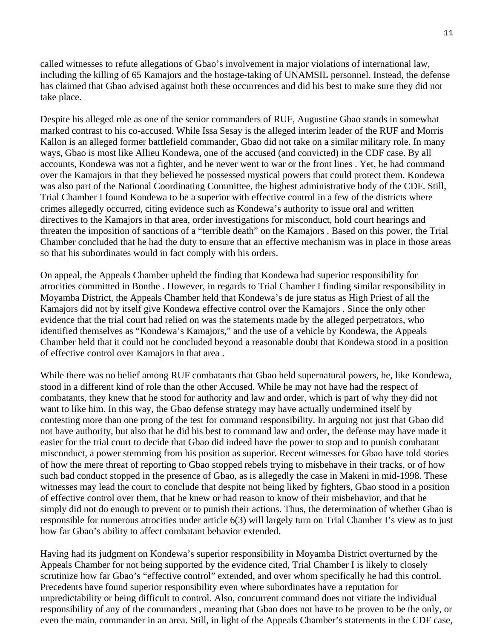called witnesses to refute allegations of Gbao's involvement in major violations of international law, including the killing of 65 Kamajors and the hostage-taking of UNAMSIL personnel. Instead, the defense has claimed that Gbao advised against both these occurrences and did his best to make sure they did not take place.

Despite his alleged role as one of the senior commanders of RUF, Augustine Gbao stands in somewhat marked contrast to his co-accused. While Issa Sesay is the alleged interim leader of the RUF and Morris Kallon is an alleged former battlefield commander, Gbao did not take on a similar military role. In many ways, Gbao is most like Allieu Kondewa, one of the accused (and convicted) in the CDF case. By all accounts, Kondewa was not a fighter, and he never went to war or the front lines . Yet, he had command over the Kamajors in that they believed he possessed mystical powers that could protect them. Kondewa was also part of the National Coordinating Committee, the highest administrative body of the CDF. Still, Trial Chamber I found Kondewa to be a superior with effective control in a few of the districts where crimes allegedly occurred, citing evidence such as Kondewa's authority to issue oral and written directives to the Kamajors in that area, order investigations for misconduct, hold court hearings and threaten the imposition of sanctions of a "terrible death" on the Kamajors . Based on this power, the Trial Chamber concluded that he had the duty to ensure that an effective mechanism was in place in those areas so that his subordinates would in fact comply with his orders.

On appeal, the Appeals Chamber upheld the finding that Kondewa had superior responsibility for atrocities committed in Bonthe . However, in regards to Trial Chamber I finding similar responsibility in Moyamba District, the Appeals Chamber held that Kondewa's de jure status as High Priest of all the Kamajors did not by itself give Kondewa effective control over the Kamajors . Since the only other evidence that the trial court had relied on was the statements made by the alleged perpetrators, who identified themselves as "Kondewa's Kamajors," and the use of a vehicle by Kondewa, the Appeals Chamber held that it could not be concluded beyond a reasonable doubt that Kondewa stood in a position of effective control over Kamajors in that area .

While there was no belief among RUF combatants that Gbao held supernatural powers, he, like Kondewa, stood in a different kind of role than the other Accused. While he may not have had the respect of combatants, they knew that he stood for authority and law and order, which is part of why they did not want to like him. In this way, the Gbao defense strategy may have actually undermined itself by contesting more than one prong of the test for command responsibility. In arguing not just that Gbao did not have authority, but also that he did his best to command law and order, the defense may have made it easier for the trial court to decide that Gbao did indeed have the power to stop and to punish combatant misconduct, a power stemming from his position as superior. Recent witnesses for Gbao have told stories of how the mere threat of reporting to Gbao stopped rebels trying to misbehave in their tracks, or of how such bad conduct stopped in the presence of Gbao, as is allegedly the case in Makeni in mid-1998. These witnesses may lead the court to conclude that despite not being liked by fighters, Gbao stood in a position of effective control over them, that he knew or had reason to know of their misbehavior, and that he simply did not do enough to prevent or to punish their actions. Thus, the determination of whether Gbao is responsible for numerous atrocities under article 6(3) will largely turn on Trial Chamber I's view as to just how far Gbao's ability to affect combatant behavior extended.

Having had its judgment on Kondewa's superior responsibility in Moyamba District overturned by the Appeals Chamber for not being supported by the evidence cited, Trial Chamber I is likely to closely scrutinize how far Gbao's "effective control" extended, and over whom specifically he had this control. Precedents have found superior responsibility even where subordinates have a reputation for unpredictability or being difficult to control. Also, concurrent command does not vitiate the individual responsibility of any of the commanders , meaning that Gbao does not have to be proven to be the only, or even the main, commander in an area. Still, in light of the Appeals Chamber's statements in the CDF case,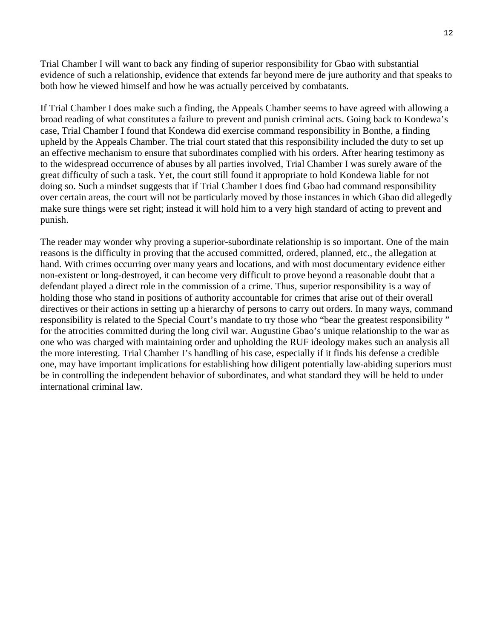Trial Chamber I will want to back any finding of superior responsibility for Gbao with substantial evidence of such a relationship, evidence that extends far beyond mere de jure authority and that speaks to both how he viewed himself and how he was actually perceived by combatants.

If Trial Chamber I does make such a finding, the Appeals Chamber seems to have agreed with allowing a broad reading of what constitutes a failure to prevent and punish criminal acts. Going back to Kondewa's case, Trial Chamber I found that Kondewa did exercise command responsibility in Bonthe, a finding upheld by the Appeals Chamber. The trial court stated that this responsibility included the duty to set up an effective mechanism to ensure that subordinates complied with his orders. After hearing testimony as to the widespread occurrence of abuses by all parties involved, Trial Chamber I was surely aware of the great difficulty of such a task. Yet, the court still found it appropriate to hold Kondewa liable for not doing so. Such a mindset suggests that if Trial Chamber I does find Gbao had command responsibility over certain areas, the court will not be particularly moved by those instances in which Gbao did allegedly make sure things were set right; instead it will hold him to a very high standard of acting to prevent and punish.

The reader may wonder why proving a superior-subordinate relationship is so important. One of the main reasons is the difficulty in proving that the accused committed, ordered, planned, etc., the allegation at hand. With crimes occurring over many years and locations, and with most documentary evidence either non-existent or long-destroyed, it can become very difficult to prove beyond a reasonable doubt that a defendant played a direct role in the commission of a crime. Thus, superior responsibility is a way of holding those who stand in positions of authority accountable for crimes that arise out of their overall directives or their actions in setting up a hierarchy of persons to carry out orders. In many ways, command responsibility is related to the Special Court's mandate to try those who "bear the greatest responsibility " for the atrocities committed during the long civil war. Augustine Gbao's unique relationship to the war as one who was charged with maintaining order and upholding the RUF ideology makes such an analysis all the more interesting. Trial Chamber I's handling of his case, especially if it finds his defense a credible one, may have important implications for establishing how diligent potentially law-abiding superiors must be in controlling the independent behavior of subordinates, and what standard they will be held to under international criminal law.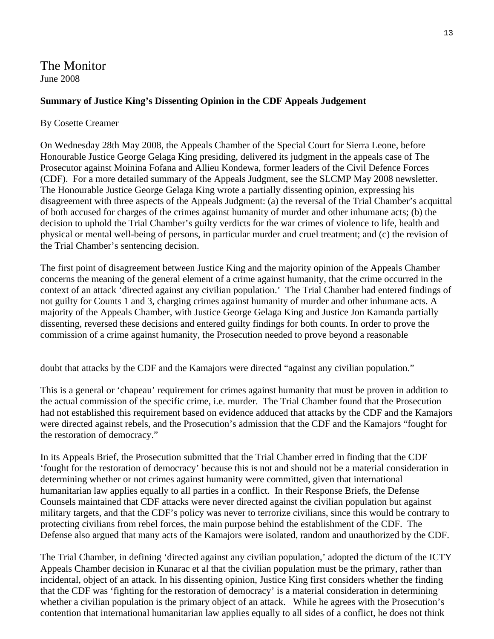The Monitor June 2008

# **Summary of Justice King's Dissenting Opinion in the CDF Appeals Judgement**

# By Cosette Creamer

On Wednesday 28th May 2008, the Appeals Chamber of the Special Court for Sierra Leone, before Honourable Justice George Gelaga King presiding, delivered its judgment in the appeals case of The Prosecutor against Moinina Fofana and Allieu Kondewa, former leaders of the Civil Defence Forces (CDF). For a more detailed summary of the Appeals Judgment, see the SLCMP May 2008 newsletter. The Honourable Justice George Gelaga King wrote a partially dissenting opinion, expressing his disagreement with three aspects of the Appeals Judgment: (a) the reversal of the Trial Chamber's acquittal of both accused for charges of the crimes against humanity of murder and other inhumane acts; (b) the decision to uphold the Trial Chamber's guilty verdicts for the war crimes of violence to life, health and physical or mental well-being of persons, in particular murder and cruel treatment; and (c) the revision of the Trial Chamber's sentencing decision.

The first point of disagreement between Justice King and the majority opinion of the Appeals Chamber concerns the meaning of the general element of a crime against humanity, that the crime occurred in the context of an attack 'directed against any civilian population.' The Trial Chamber had entered findings of not guilty for Counts 1 and 3, charging crimes against humanity of murder and other inhumane acts. A majority of the Appeals Chamber, with Justice George Gelaga King and Justice Jon Kamanda partially dissenting, reversed these decisions and entered guilty findings for both counts. In order to prove the commission of a crime against humanity, the Prosecution needed to prove beyond a reasonable

doubt that attacks by the CDF and the Kamajors were directed "against any civilian population."

This is a general or 'chapeau' requirement for crimes against humanity that must be proven in addition to the actual commission of the specific crime, i.e. murder. The Trial Chamber found that the Prosecution had not established this requirement based on evidence adduced that attacks by the CDF and the Kamajors were directed against rebels, and the Prosecution's admission that the CDF and the Kamajors "fought for the restoration of democracy."

In its Appeals Brief, the Prosecution submitted that the Trial Chamber erred in finding that the CDF 'fought for the restoration of democracy' because this is not and should not be a material consideration in determining whether or not crimes against humanity were committed, given that international humanitarian law applies equally to all parties in a conflict. In their Response Briefs, the Defense Counsels maintained that CDF attacks were never directed against the civilian population but against military targets, and that the CDF's policy was never to terrorize civilians, since this would be contrary to protecting civilians from rebel forces, the main purpose behind the establishment of the CDF. The Defense also argued that many acts of the Kamajors were isolated, random and unauthorized by the CDF.

The Trial Chamber, in defining 'directed against any civilian population,' adopted the dictum of the ICTY Appeals Chamber decision in Kunarac et al that the civilian population must be the primary, rather than incidental, object of an attack. In his dissenting opinion, Justice King first considers whether the finding that the CDF was 'fighting for the restoration of democracy' is a material consideration in determining whether a civilian population is the primary object of an attack. While he agrees with the Prosecution's contention that international humanitarian law applies equally to all sides of a conflict, he does not think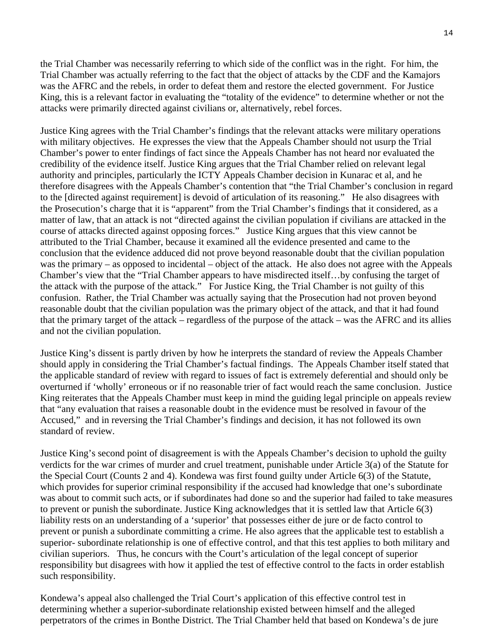the Trial Chamber was necessarily referring to which side of the conflict was in the right. For him, the Trial Chamber was actually referring to the fact that the object of attacks by the CDF and the Kamajors was the AFRC and the rebels, in order to defeat them and restore the elected government. For Justice King, this is a relevant factor in evaluating the "totality of the evidence" to determine whether or not the attacks were primarily directed against civilians or, alternatively, rebel forces.

Justice King agrees with the Trial Chamber's findings that the relevant attacks were military operations with military objectives. He expresses the view that the Appeals Chamber should not usurp the Trial Chamber's power to enter findings of fact since the Appeals Chamber has not heard nor evaluated the credibility of the evidence itself. Justice King argues that the Trial Chamber relied on relevant legal authority and principles, particularly the ICTY Appeals Chamber decision in Kunarac et al, and he therefore disagrees with the Appeals Chamber's contention that "the Trial Chamber's conclusion in regard to the [directed against requirement] is devoid of articulation of its reasoning." He also disagrees with the Prosecution's charge that it is "apparent" from the Trial Chamber's findings that it considered, as a matter of law, that an attack is not "directed against the civilian population if civilians are attacked in the course of attacks directed against opposing forces." Justice King argues that this view cannot be attributed to the Trial Chamber, because it examined all the evidence presented and came to the conclusion that the evidence adduced did not prove beyond reasonable doubt that the civilian population was the primary – as opposed to incidental – object of the attack. He also does not agree with the Appeals Chamber's view that the "Trial Chamber appears to have misdirected itself…by confusing the target of the attack with the purpose of the attack." For Justice King, the Trial Chamber is not guilty of this confusion. Rather, the Trial Chamber was actually saying that the Prosecution had not proven beyond reasonable doubt that the civilian population was the primary object of the attack, and that it had found that the primary target of the attack – regardless of the purpose of the attack – was the AFRC and its allies and not the civilian population.

Justice King's dissent is partly driven by how he interprets the standard of review the Appeals Chamber should apply in considering the Trial Chamber's factual findings. The Appeals Chamber itself stated that the applicable standard of review with regard to issues of fact is extremely deferential and should only be overturned if 'wholly' erroneous or if no reasonable trier of fact would reach the same conclusion. Justice King reiterates that the Appeals Chamber must keep in mind the guiding legal principle on appeals review that "any evaluation that raises a reasonable doubt in the evidence must be resolved in favour of the Accused," and in reversing the Trial Chamber's findings and decision, it has not followed its own standard of review.

Justice King's second point of disagreement is with the Appeals Chamber's decision to uphold the guilty verdicts for the war crimes of murder and cruel treatment, punishable under Article 3(a) of the Statute for the Special Court (Counts 2 and 4). Kondewa was first found guilty under Article 6(3) of the Statute, which provides for superior criminal responsibility if the accused had knowledge that one's subordinate was about to commit such acts, or if subordinates had done so and the superior had failed to take measures to prevent or punish the subordinate. Justice King acknowledges that it is settled law that Article 6(3) liability rests on an understanding of a 'superior' that possesses either de jure or de facto control to prevent or punish a subordinate committing a crime. He also agrees that the applicable test to establish a superior- subordinate relationship is one of effective control, and that this test applies to both military and civilian superiors. Thus, he concurs with the Court's articulation of the legal concept of superior responsibility but disagrees with how it applied the test of effective control to the facts in order establish such responsibility.

Kondewa's appeal also challenged the Trial Court's application of this effective control test in determining whether a superior-subordinate relationship existed between himself and the alleged perpetrators of the crimes in Bonthe District. The Trial Chamber held that based on Kondewa's de jure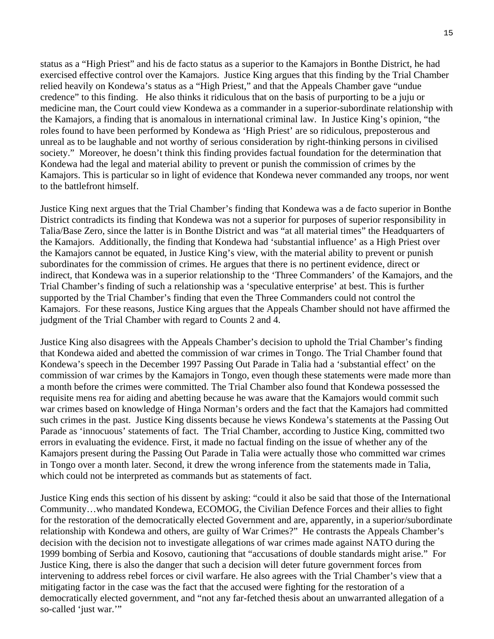status as a "High Priest" and his de facto status as a superior to the Kamajors in Bonthe District, he had exercised effective control over the Kamajors. Justice King argues that this finding by the Trial Chamber relied heavily on Kondewa's status as a "High Priest," and that the Appeals Chamber gave "undue credence" to this finding. He also thinks it ridiculous that on the basis of purporting to be a juju or medicine man, the Court could view Kondewa as a commander in a superior-subordinate relationship with the Kamajors, a finding that is anomalous in international criminal law. In Justice King's opinion, "the roles found to have been performed by Kondewa as 'High Priest' are so ridiculous, preposterous and unreal as to be laughable and not worthy of serious consideration by right-thinking persons in civilised society." Moreover, he doesn't think this finding provides factual foundation for the determination that Kondewa had the legal and material ability to prevent or punish the commission of crimes by the Kamajors. This is particular so in light of evidence that Kondewa never commanded any troops, nor went to the battlefront himself.

Justice King next argues that the Trial Chamber's finding that Kondewa was a de facto superior in Bonthe District contradicts its finding that Kondewa was not a superior for purposes of superior responsibility in Talia/Base Zero, since the latter is in Bonthe District and was "at all material times" the Headquarters of the Kamajors. Additionally, the finding that Kondewa had 'substantial influence' as a High Priest over the Kamajors cannot be equated, in Justice King's view, with the material ability to prevent or punish subordinates for the commission of crimes. He argues that there is no pertinent evidence, direct or indirect, that Kondewa was in a superior relationship to the 'Three Commanders' of the Kamajors, and the Trial Chamber's finding of such a relationship was a 'speculative enterprise' at best. This is further supported by the Trial Chamber's finding that even the Three Commanders could not control the Kamajors. For these reasons, Justice King argues that the Appeals Chamber should not have affirmed the judgment of the Trial Chamber with regard to Counts 2 and 4.

Justice King also disagrees with the Appeals Chamber's decision to uphold the Trial Chamber's finding that Kondewa aided and abetted the commission of war crimes in Tongo. The Trial Chamber found that Kondewa's speech in the December 1997 Passing Out Parade in Talia had a 'substantial effect' on the commission of war crimes by the Kamajors in Tongo, even though these statements were made more than a month before the crimes were committed. The Trial Chamber also found that Kondewa possessed the requisite mens rea for aiding and abetting because he was aware that the Kamajors would commit such war crimes based on knowledge of Hinga Norman's orders and the fact that the Kamajors had committed such crimes in the past. Justice King dissents because he views Kondewa's statements at the Passing Out Parade as 'innocuous' statements of fact. The Trial Chamber, according to Justice King, committed two errors in evaluating the evidence. First, it made no factual finding on the issue of whether any of the Kamajors present during the Passing Out Parade in Talia were actually those who committed war crimes in Tongo over a month later. Second, it drew the wrong inference from the statements made in Talia, which could not be interpreted as commands but as statements of fact.

Justice King ends this section of his dissent by asking: "could it also be said that those of the International Community…who mandated Kondewa, ECOMOG, the Civilian Defence Forces and their allies to fight for the restoration of the democratically elected Government and are, apparently, in a superior/subordinate relationship with Kondewa and others, are guilty of War Crimes?" He contrasts the Appeals Chamber's decision with the decision not to investigate allegations of war crimes made against NATO during the 1999 bombing of Serbia and Kosovo, cautioning that "accusations of double standards might arise." For Justice King, there is also the danger that such a decision will deter future government forces from intervening to address rebel forces or civil warfare. He also agrees with the Trial Chamber's view that a mitigating factor in the case was the fact that the accused were fighting for the restoration of a democratically elected government, and "not any far-fetched thesis about an unwarranted allegation of a so-called 'just war.""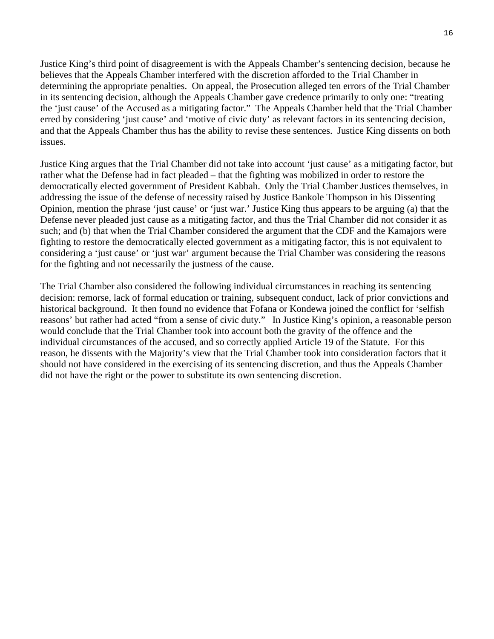Justice King's third point of disagreement is with the Appeals Chamber's sentencing decision, because he believes that the Appeals Chamber interfered with the discretion afforded to the Trial Chamber in determining the appropriate penalties. On appeal, the Prosecution alleged ten errors of the Trial Chamber in its sentencing decision, although the Appeals Chamber gave credence primarily to only one: "treating the 'just cause' of the Accused as a mitigating factor." The Appeals Chamber held that the Trial Chamber erred by considering 'just cause' and 'motive of civic duty' as relevant factors in its sentencing decision, and that the Appeals Chamber thus has the ability to revise these sentences. Justice King dissents on both issues.

Justice King argues that the Trial Chamber did not take into account 'just cause' as a mitigating factor, but rather what the Defense had in fact pleaded – that the fighting was mobilized in order to restore the democratically elected government of President Kabbah. Only the Trial Chamber Justices themselves, in addressing the issue of the defense of necessity raised by Justice Bankole Thompson in his Dissenting Opinion, mention the phrase 'just cause' or 'just war.' Justice King thus appears to be arguing (a) that the Defense never pleaded just cause as a mitigating factor, and thus the Trial Chamber did not consider it as such; and (b) that when the Trial Chamber considered the argument that the CDF and the Kamajors were fighting to restore the democratically elected government as a mitigating factor, this is not equivalent to considering a 'just cause' or 'just war' argument because the Trial Chamber was considering the reasons for the fighting and not necessarily the justness of the cause.

The Trial Chamber also considered the following individual circumstances in reaching its sentencing decision: remorse, lack of formal education or training, subsequent conduct, lack of prior convictions and historical background. It then found no evidence that Fofana or Kondewa joined the conflict for 'selfish reasons' but rather had acted "from a sense of civic duty." In Justice King's opinion, a reasonable person would conclude that the Trial Chamber took into account both the gravity of the offence and the individual circumstances of the accused, and so correctly applied Article 19 of the Statute. For this reason, he dissents with the Majority's view that the Trial Chamber took into consideration factors that it should not have considered in the exercising of its sentencing discretion, and thus the Appeals Chamber did not have the right or the power to substitute its own sentencing discretion.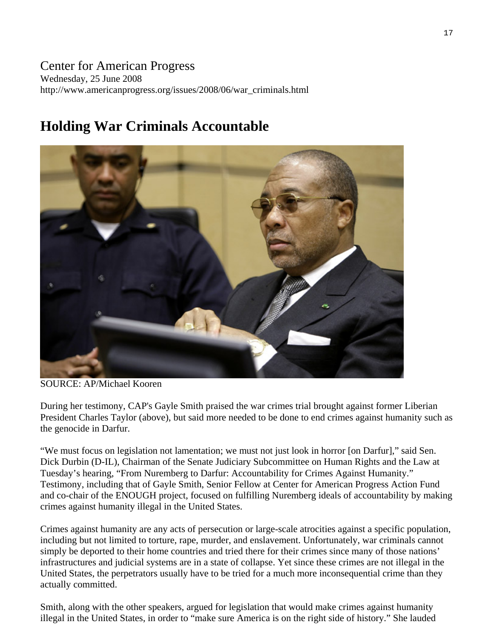# Center for American Progress Wednesday, 25 June 2008 http://www.americanprogress.org/issues/2008/06/war\_criminals.html

# **Holding War Criminals Accountable**



SOURCE: AP/Michael Kooren

During her testimony, CAP's Gayle Smith praised the war crimes trial brought against former Liberian President Charles Taylor (above), but said more needed to be done to end crimes against humanity such as the genocide in Darfur.

"We must focus on legislation not lamentation; we must not just look in horror [on Darfur]," said Sen. Dick Durbin (D-IL), Chairman of the Senate Judiciary Subcommittee on Human Rights and the Law at Tuesday's hearing, "From Nuremberg to Darfur: Accountability for Crimes Against Humanity." Testimony, including that of Gayle Smith, Senior Fellow at Center for American Progress Action Fund and co-chair of the ENOUGH project, focused on fulfilling Nuremberg ideals of accountability by making crimes against humanity illegal in the United States.

Crimes against humanity are any acts of persecution or large-scale atrocities against a specific population, including but not limited to torture, rape, murder, and enslavement. Unfortunately, war criminals cannot simply be deported to their home countries and tried there for their crimes since many of those nations' infrastructures and judicial systems are in a state of collapse. Yet since these crimes are not illegal in the United States, the perpetrators usually have to be tried for a much more inconsequential crime than they actually committed.

Smith, along with the other speakers, argued for legislation that would make crimes against humanity illegal in the United States, in order to "make sure America is on the right side of history." She lauded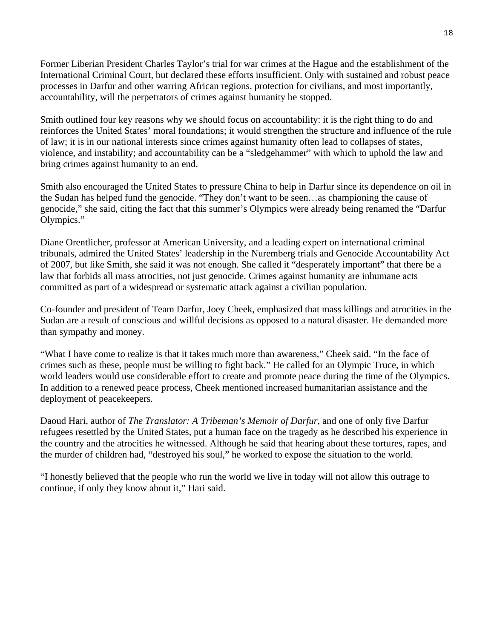Former Liberian President Charles Taylor's trial for war crimes at the Hague and the establishment of the International Criminal Court, but declared these efforts insufficient. Only with sustained and robust peace processes in Darfur and other warring African regions, protection for civilians, and most importantly, accountability, will the perpetrators of crimes against humanity be stopped.

Smith outlined four key reasons why we should focus on accountability: it is the right thing to do and reinforces the United States' moral foundations; it would strengthen the structure and influence of the rule of law; it is in our national interests since crimes against humanity often lead to collapses of states, violence, and instability; and accountability can be a "sledgehammer" with which to uphold the law and bring crimes against humanity to an end.

Smith also encouraged the United States to pressure China to help in Darfur since its dependence on oil in the Sudan has helped fund the genocide. "They don't want to be seen…as championing the cause of genocide," she said, citing the fact that this summer's Olympics were already being renamed the "Darfur Olympics."

Diane Orentlicher, professor at American University, and a leading expert on international criminal tribunals, admired the United States' leadership in the Nuremberg trials and Genocide Accountability Act of 2007, but like Smith, she said it was not enough. She called it "desperately important" that there be a law that forbids all mass atrocities, not just genocide. Crimes against humanity are inhumane acts committed as part of a widespread or systematic attack against a civilian population.

Co-founder and president of Team Darfur, Joey Cheek, emphasized that mass killings and atrocities in the Sudan are a result of conscious and willful decisions as opposed to a natural disaster. He demanded more than sympathy and money.

"What I have come to realize is that it takes much more than awareness," Cheek said. "In the face of crimes such as these, people must be willing to fight back." He called for an Olympic Truce, in which world leaders would use considerable effort to create and promote peace during the time of the Olympics. In addition to a renewed peace process, Cheek mentioned increased humanitarian assistance and the deployment of peacekeepers.

Daoud Hari, author of *The Translator: A Tribeman's Memoir of Darfur*, and one of only five Darfur refugees resettled by the United States, put a human face on the tragedy as he described his experience in the country and the atrocities he witnessed. Although he said that hearing about these tortures, rapes, and the murder of children had, "destroyed his soul," he worked to expose the situation to the world.

"I honestly believed that the people who run the world we live in today will not allow this outrage to continue, if only they know about it," Hari said.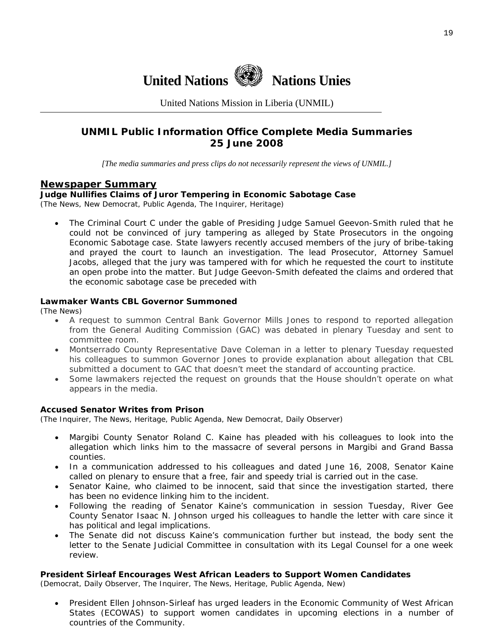

United Nations Mission in Liberia (UNMIL)

# **UNMIL Public Information Office Complete Media Summaries 25 June 2008**

*[The media summaries and press clips do not necessarily represent the views of UNMIL.]* 

# **Newspaper Summary**

# **Judge Nullifies Claims of Juror Tempering in Economic Sabotage Case**

(The News, New Democrat, Public Agenda, The Inquirer, Heritage)

• The Criminal Court C under the gable of Presiding Judge Samuel Geevon-Smith ruled that he could not be convinced of jury tampering as alleged by State Prosecutors in the ongoing Economic Sabotage case. State lawyers recently accused members of the jury of bribe-taking and prayed the court to launch an investigation. The lead Prosecutor, Attorney Samuel Jacobs, alleged that the jury was tampered with for which he requested the court to institute an open probe into the matter. But Judge Geevon-Smith defeated the claims and ordered that the economic sabotage case be preceded with

### **Lawmaker Wants CBL Governor Summoned**

(The News)

- A request to summon Central Bank Governor Mills Jones to respond to reported allegation from the General Auditing Commission (GAC) was debated in plenary Tuesday and sent to committee room.
- Montserrado County Representative Dave Coleman in a letter to plenary Tuesday requested his colleagues to summon Governor Jones to provide explanation about allegation that CBL submitted a document to GAC that doesn't meet the standard of accounting practice.
- Some lawmakers rejected the request on grounds that the House shouldn't operate on what appears in the media.

#### **Accused Senator Writes from Prison**

(The Inquirer, The News, Heritage, Public Agenda, New Democrat, Daily Observer)

- Margibi County Senator Roland C. Kaine has pleaded with his colleagues to look into the allegation which links him to the massacre of several persons in Margibi and Grand Bassa counties.
- In a communication addressed to his colleagues and dated June 16, 2008, Senator Kaine called on plenary to ensure that a free, fair and speedy trial is carried out in the case.
- Senator Kaine, who claimed to be innocent, said that since the investigation started, there has been no evidence linking him to the incident.
- Following the reading of Senator Kaine's communication in session Tuesday, River Gee County Senator Isaac N. Johnson urged his colleagues to handle the letter with care since it has political and legal implications.
- The Senate did not discuss Kaine's communication further but instead, the body sent the letter to the Senate Judicial Committee in consultation with its Legal Counsel for a one week review.

#### **President Sirleaf Encourages West African Leaders to Support Women Candidates**

(Democrat, Daily Observer, The Inquirer, The News, Heritage, Public Agenda, New)

• President Ellen Johnson-Sirleaf has urged leaders in the Economic Community of West African States (ECOWAS) to support women candidates in upcoming elections in a number of countries of the Community.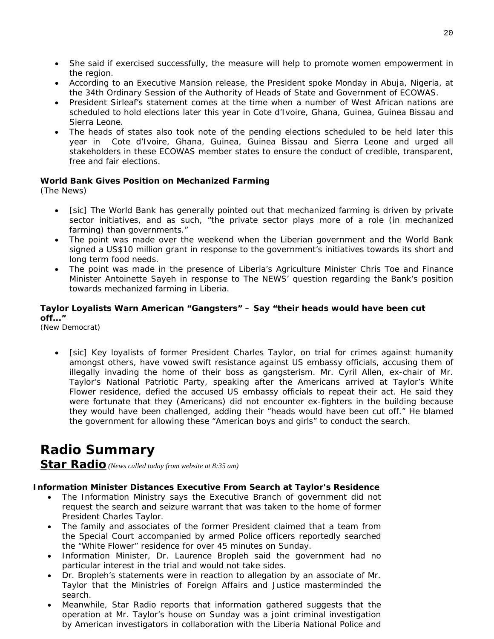- She said if exercised successfully, the measure will help to promote women empowerment in the region.
- According to an Executive Mansion release, the President spoke Monday in Abuja, Nigeria, at the 34th Ordinary Session of the Authority of Heads of State and Government of ECOWAS.
- President Sirleaf's statement comes at the time when a number of West African nations are scheduled to hold elections later this year in Cote d'Ivoire, Ghana, Guinea, Guinea Bissau and Sierra Leone.
- The heads of states also took note of the pending elections scheduled to be held later this year in Cote d'Ivoire, Ghana, Guinea, Guinea Bissau and Sierra Leone and urged all stakeholders in these ECOWAS member states to ensure the conduct of credible, transparent, free and fair elections.

# **World Bank Gives Position on Mechanized Farming**

(The News)

- [sic] The World Bank has generally pointed out that mechanized farming is driven by private sector initiatives, and as such, "the private sector plays more of a role (in mechanized farming) than governments."
- The point was made over the weekend when the Liberian government and the World Bank signed a US\$10 million grant in response to the government's initiatives towards its short and long term food needs.
- The point was made in the presence of Liberia's Agriculture Minister Chris Toe and Finance Minister Antoinette Sayeh in response to The NEWS' question regarding the Bank's position towards mechanized farming in Liberia.

# **Taylor Loyalists Warn American "Gangsters" – Say "their heads would have been cut off..."**

(New Democrat)

• [sic] Key loyalists of former President Charles Taylor, on trial for crimes against humanity amongst others, have vowed swift resistance against US embassy officials, accusing them of illegally invading the home of their boss as gangsterism. Mr. Cyril Allen, ex-chair of Mr. Taylor's National Patriotic Party, speaking after the Americans arrived at Taylor's White Flower residence, defied the accused US embassy officials to repeat their act. He said they were fortunate that they (Americans) did not encounter ex-fighters in the building because they would have been challenged, adding their "heads would have been cut off." He blamed the government for allowing these "American boys and girls" to conduct the search.

# **Radio Summary**

**Star Radio** *(News culled today from website at 8:35 am)* 

### **Information Minister Distances Executive From Search at Taylor's Residence**

- The Information Ministry says the Executive Branch of government did not request the search and seizure warrant that was taken to the home of former President Charles Taylor.
- The family and associates of the former President claimed that a team from the Special Court accompanied by armed Police officers reportedly searched the "White Flower" residence for over 45 minutes on Sunday.
- Information Minister, Dr. Laurence Bropleh said the government had no particular interest in the trial and would not take sides.
- Dr. Bropleh's statements were in reaction to allegation by an associate of Mr. Taylor that the Ministries of Foreign Affairs and Justice masterminded the search.
- Meanwhile, Star Radio reports that information gathered suggests that the operation at Mr. Taylor's house on Sunday was a joint criminal investigation by American investigators in collaboration with the Liberia National Police and